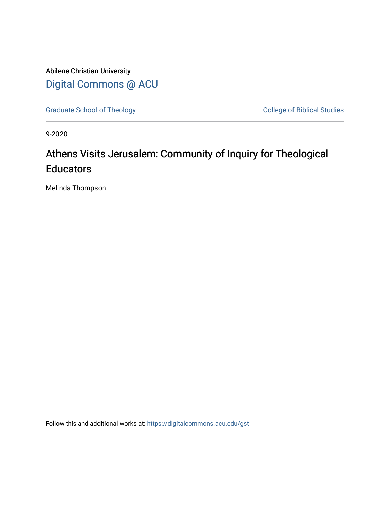Abilene Christian University [Digital Commons @ ACU](https://digitalcommons.acu.edu/)

[Graduate School of Theology](https://digitalcommons.acu.edu/gst) College of Biblical Studies

9-2020

## Athens Visits Jerusalem: Community of Inquiry for Theological **Educators**

Melinda Thompson

Follow this and additional works at: [https://digitalcommons.acu.edu/gst](https://digitalcommons.acu.edu/gst?utm_source=digitalcommons.acu.edu%2Fgst%2F4&utm_medium=PDF&utm_campaign=PDFCoverPages)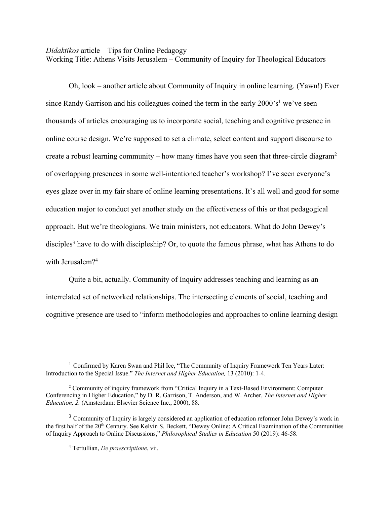## *Didaktikos* article – Tips for Online Pedagogy

Working Title: Athens Visits Jerusalem – Community of Inquiry for Theological Educators

Oh, look – another article about Community of Inquiry in online learning. (Yawn!) Ever since Randy Garrison and his colleagues coined the term in the early  $2000$ 's<sup>1</sup> we've seen thousands of articles encouraging us to incorporate social, teaching and cognitive presence in online course design. We're supposed to set a climate, select content and support discourse to create a robust learning community – how many times have you seen that three-circle diagram<sup>2</sup> of overlapping presences in some well-intentioned teacher's workshop? I've seen everyone's eyes glaze over in my fair share of online learning presentations. It's all well and good for some education major to conduct yet another study on the effectiveness of this or that pedagogical approach. But we're theologians. We train ministers, not educators. What do John Dewey's disciples<sup>3</sup> have to do with discipleship? Or, to quote the famous phrase, what has Athens to do with Jerusalem?<sup>4</sup>

Quite a bit, actually. Community of Inquiry addresses teaching and learning as an interrelated set of networked relationships. The intersecting elements of social, teaching and cognitive presence are used to "inform methodologies and approaches to online learning design

 $<sup>1</sup>$  Confirmed by Karen Swan and Phil Ice, "The Community of Inquiry Framework Ten Years Later:</sup> Introduction to the Special Issue." *The Internet and Higher Education,* 13 (2010): 1-4.

<sup>2</sup> Community of inquiry framework from "Critical Inquiry in a Text-Based Environment: Computer Conferencing in Higher Education," by D. R. Garrison, T. Anderson, and W. Archer, *The Internet and Higher Education, 2.* (Amsterdam: Elsevier Science Inc., 2000), 88.

<sup>&</sup>lt;sup>3</sup> Community of Inquiry is largely considered an application of education reformer John Dewey's work in the first half of the 20<sup>th</sup> Century. See Kelvin S. Beckett, "Dewey Online: A Critical Examination of the Communities of Inquiry Approach to Online Discussions," *Philosophical Studies in Education* 50 (2019): 46-58.

<sup>4</sup> Tertullian, *De praescriptione*, vii.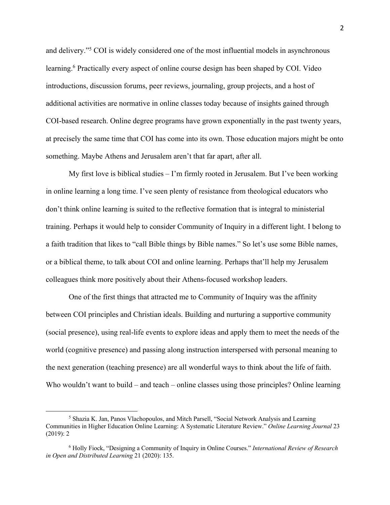and delivery."5 COI is widely considered one of the most influential models in asynchronous learning.<sup>6</sup> Practically every aspect of online course design has been shaped by COI. Video introductions, discussion forums, peer reviews, journaling, group projects, and a host of additional activities are normative in online classes today because of insights gained through COI-based research. Online degree programs have grown exponentially in the past twenty years, at precisely the same time that COI has come into its own. Those education majors might be onto something. Maybe Athens and Jerusalem aren't that far apart, after all.

My first love is biblical studies  $-I'm$  firmly rooted in Jerusalem. But I've been working in online learning a long time. I've seen plenty of resistance from theological educators who don't think online learning is suited to the reflective formation that is integral to ministerial training. Perhaps it would help to consider Community of Inquiry in a different light. I belong to a faith tradition that likes to "call Bible things by Bible names." So let's use some Bible names, or a biblical theme, to talk about COI and online learning. Perhaps that'll help my Jerusalem colleagues think more positively about their Athens-focused workshop leaders.

One of the first things that attracted me to Community of Inquiry was the affinity between COI principles and Christian ideals. Building and nurturing a supportive community (social presence), using real-life events to explore ideas and apply them to meet the needs of the world (cognitive presence) and passing along instruction interspersed with personal meaning to the next generation (teaching presence) are all wonderful ways to think about the life of faith. Who wouldn't want to build – and teach – online classes using those principles? Online learning

<sup>&</sup>lt;sup>5</sup> Shazia K. Jan, Panos Vlachopoulos, and Mitch Parsell, "Social Network Analysis and Learning Communities in Higher Education Online Learning: A Systematic Literature Review." *Online Learning Journal* 23 (2019): 2

<sup>6</sup> Holly Fiock, "Designing a Community of Inquiry in Online Courses." *International Review of Research in Open and Distributed Learning* 21 (2020): 135.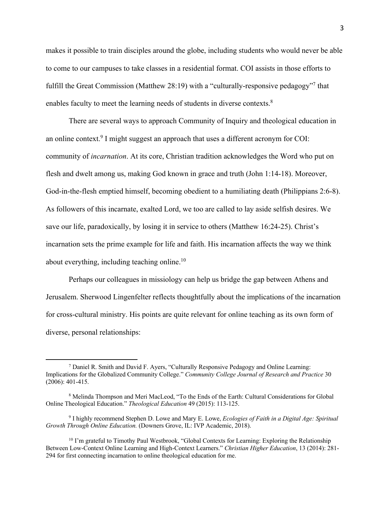makes it possible to train disciples around the globe, including students who would never be able to come to our campuses to take classes in a residential format. COI assists in those efforts to fulfill the Great Commission (Matthew 28:19) with a "culturally-responsive pedagogy"7 that enables faculty to meet the learning needs of students in diverse contexts.<sup>8</sup>

There are several ways to approach Community of Inquiry and theological education in an online context.<sup>9</sup> I might suggest an approach that uses a different acronym for COI: community of *incarnation*. At its core, Christian tradition acknowledges the Word who put on flesh and dwelt among us, making God known in grace and truth (John 1:14-18). Moreover, God-in-the-flesh emptied himself, becoming obedient to a humiliating death (Philippians 2:6-8). As followers of this incarnate, exalted Lord, we too are called to lay aside selfish desires. We save our life, paradoxically, by losing it in service to others (Matthew 16:24-25). Christ's incarnation sets the prime example for life and faith. His incarnation affects the way we think about everything, including teaching online.<sup>10</sup>

Perhaps our colleagues in missiology can help us bridge the gap between Athens and Jerusalem. Sherwood Lingenfelter reflects thoughtfully about the implications of the incarnation for cross-cultural ministry. His points are quite relevant for online teaching as its own form of diverse, personal relationships:

<sup>7</sup> Daniel R. Smith and David F. Ayers, "Culturally Responsive Pedagogy and Online Learning: Implications for the Globalized Community College." *Community College Journal of Research and Practice* 30 (2006): 401-415.

<sup>8</sup> Melinda Thompson and Meri MacLeod, "To the Ends of the Earth: Cultural Considerations for Global Online Theological Education." *Theological Education* 49 (2015): 113-125.

<sup>9</sup> I highly recommend Stephen D. Lowe and Mary E. Lowe, *Ecologies of Faith in a Digital Age: Spiritual Growth Through Online Education.* (Downers Grove, IL: IVP Academic, 2018).

 $10$  I'm grateful to Timothy Paul Westbrook, "Global Contexts for Learning: Exploring the Relationship Between Low-Context Online Learning and High-Context Learners." *Christian Higher Education*, 13 (2014): 281- 294 for first connecting incarnation to online theological education for me.